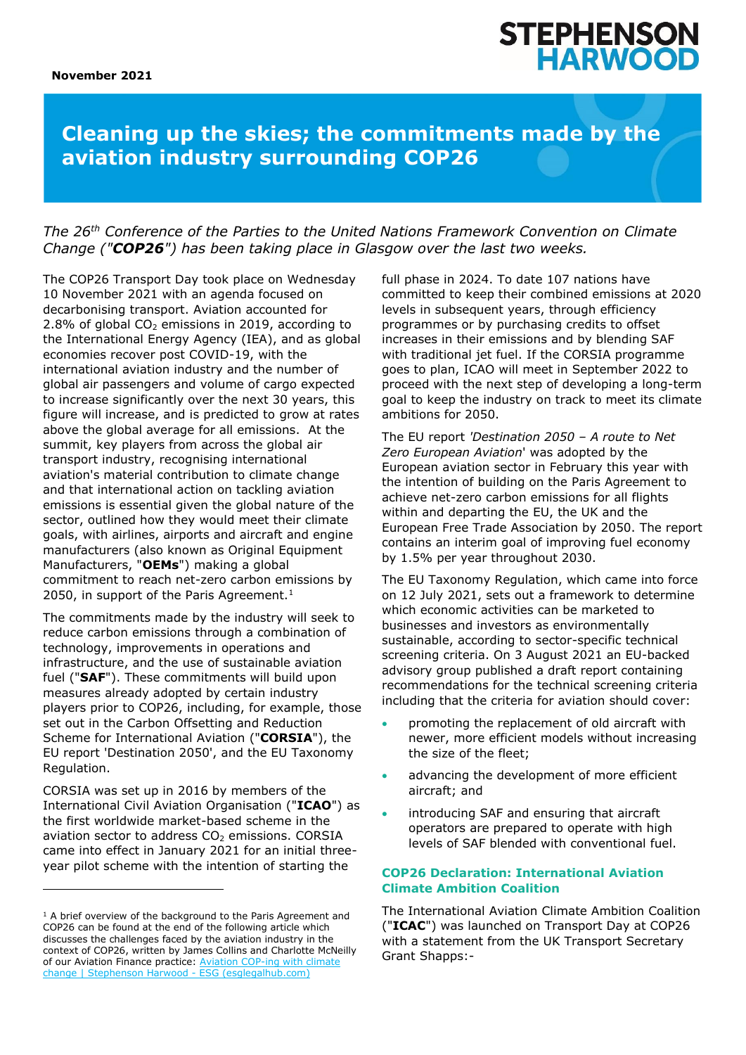# **STEPHENSON<br>HARWOOD**

# **Cleaning up the skies; the commitments made by the aviation industry surrounding COP26**

### *The 26th Conference of the Parties to the United Nations Framework Convention on Climate Change ("COP26") has been taking place in Glasgow over the last two weeks.*

The COP26 Transport Day took place on Wednesday 10 November 2021 with an agenda focused on decarbonising transport. Aviation accounted for 2.8% of global  $CO<sub>2</sub>$  emissions in 2019, according to the International Energy Agency (IEA), and as global economies recover post COVID-19, with the international aviation industry and the number of global air passengers and volume of cargo expected to increase significantly over the next 30 years, this figure will increase, and is predicted to grow at rates above the global average for all emissions. At the summit, key players from across the global air transport industry, recognising international aviation's material contribution to climate change and that international action on tackling aviation emissions is essential given the global nature of the sector, outlined how they would meet their climate goals, with airlines, airports and aircraft and engine manufacturers (also known as Original Equipment Manufacturers, "**OEMs**") making a global commitment to reach net-zero carbon emissions by 2050, in support of the Paris Agreement.<sup>1</sup>

The commitments made by the industry will seek to reduce carbon emissions through a combination of technology, improvements in operations and infrastructure, and the use of sustainable aviation fuel ("**SAF**"). These commitments will build upon measures already adopted by certain industry players prior to COP26, including, for example, those set out in the Carbon Offsetting and Reduction Scheme for International Aviation ("**CORSIA**"), the EU report 'Destination 2050', and the EU Taxonomy Regulation.

CORSIA was set up in 2016 by members of the International Civil Aviation Organisation ("**ICAO**") as the first worldwide market-based scheme in the aviation sector to address CO<sub>2</sub> emissions. CORSIA came into effect in January 2021 for an initial threeyear pilot scheme with the intention of starting the

full phase in 2024. To date 107 nations have committed to keep their combined emissions at 2020 levels in subsequent years, through efficiency programmes or by purchasing credits to offset increases in their emissions and by blending SAF with traditional jet fuel. If the CORSIA programme goes to plan, ICAO will meet in September 2022 to proceed with the next step of developing a long-term goal to keep the industry on track to meet its climate ambitions for 2050.

The EU report *'Destination 2050 – A route to Net Zero European Aviation*' was adopted by the European aviation sector in February this year with the intention of building on the Paris Agreement to achieve net-zero carbon emissions for all flights within and departing the EU, the UK and the European Free Trade Association by 2050. The report contains an interim goal of improving fuel economy by 1.5% per year throughout 2030.

The EU Taxonomy Regulation, which came into force on 12 July 2021, sets out a framework to determine which economic activities can be marketed to businesses and investors as environmentally sustainable, according to sector-specific technical screening criteria. On 3 August 2021 an EU-backed advisory group published a draft report containing recommendations for the technical screening criteria including that the criteria for aviation should cover:

- promoting the replacement of old aircraft with newer, more efficient models without increasing the size of the fleet;
- advancing the development of more efficient aircraft; and
- introducing SAF and ensuring that aircraft operators are prepared to operate with high levels of SAF blended with conventional fuel.

#### **COP26 Declaration: International Aviation Climate Ambition Coalition**

The International Aviation Climate Ambition Coalition ("**ICAC**") was launched on Transport Day at COP26 with a statement from the UK Transport Secretary Grant Shapps:-

 $1$  A brief overview of the background to the Paris Agreement and COP26 can be found at the end of the following article which discusses the challenges faced by the aviation industry in the context of COP26, written by James Collins and Charlotte McNeilly of our Aviation Finance practice: Aviation COP-ing with climate [change | Stephenson Harwood -](https://www.esglegalhub.com/insight/aviation-cop-ing-climate-change) ESG (esglegalhub.com)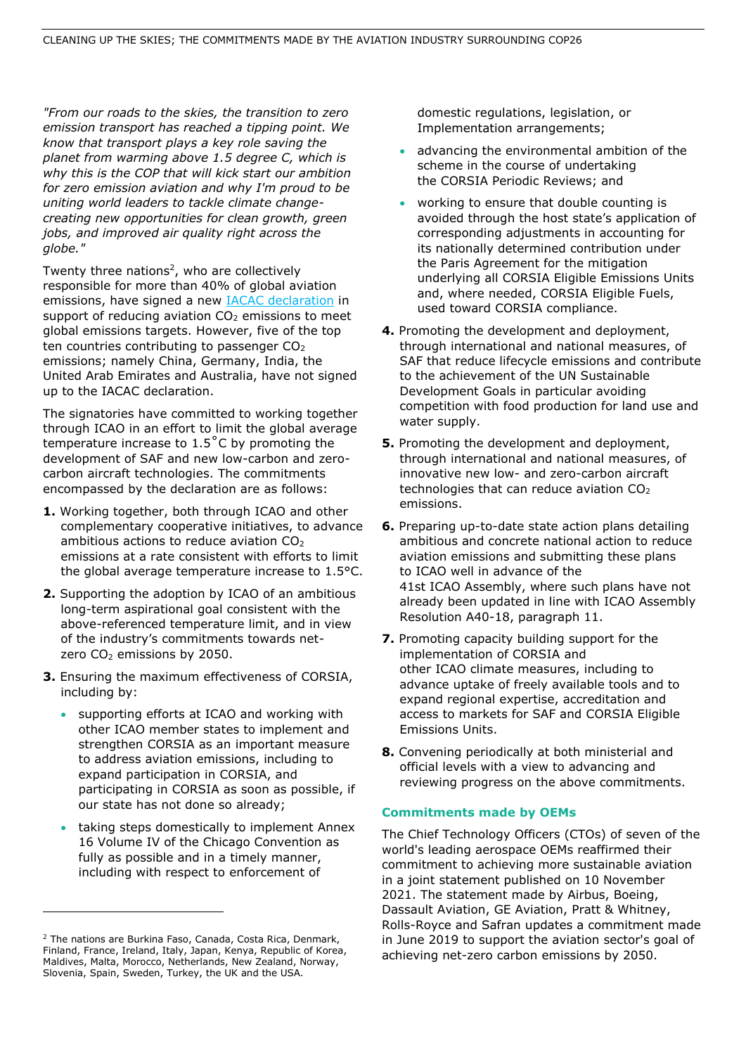*"From our roads to the skies, the transition to zero emission transport has reached a tipping point. We know that transport plays a key role saving the planet from warming above 1.5 degree C, which is why this is the COP that will kick start our ambition for zero emission aviation and why I'm proud to be uniting world leaders to tackle climate changecreating new opportunities for clean growth, green jobs, and improved air quality right across the globe."*

Twenty three nations<sup>2</sup>, who are collectively responsible for more than 40% of global aviation emissions, have signed a new [IACAC declaration](https://www.gov.uk/government/publications/cop-26-declaration-international-aviation-climate-ambition-coalition/cop-26-declaration-international-aviation-climate-ambition-coalition) in support of reducing aviation  $CO<sub>2</sub>$  emissions to meet global emissions targets. However, five of the top ten countries contributing to passenger  $CO<sub>2</sub>$ emissions; namely China, Germany, India, the United Arab Emirates and Australia, have not signed up to the IACAC declaration.

The signatories have committed to working together through ICAO in an effort to limit the global average temperature increase to 1.5˚C by promoting the development of SAF and new low-carbon and zerocarbon aircraft technologies. The commitments encompassed by the declaration are as follows:

- **1.** Working together, both through ICAO and other complementary cooperative initiatives, to advance ambitious actions to reduce aviation  $CO<sub>2</sub>$ emissions at a rate consistent with efforts to limit the global average temperature increase to 1.5°C.
- **2.** Supporting the adoption by ICAO of an ambitious long-term aspirational goal consistent with the above-referenced temperature limit, and in view of the industry's commitments towards netzero CO<sub>2</sub> emissions by 2050.
- **3.** Ensuring the maximum effectiveness of CORSIA, including by:
	- supporting efforts at ICAO and working with other ICAO member states to implement and strengthen CORSIA as an important measure to address aviation emissions, including to expand participation in CORSIA, and participating in CORSIA as soon as possible, if our state has not done so already;
	- taking steps domestically to implement Annex 16 Volume IV of the Chicago Convention as fully as possible and in a timely manner, including with respect to enforcement of

domestic regulations, legislation, or Implementation arrangements;

- advancing the environmental ambition of the scheme in the course of undertaking the CORSIA Periodic Reviews; and
- working to ensure that double counting is avoided through the host state's application of corresponding adjustments in accounting for its nationally determined contribution under the Paris Agreement for the mitigation underlying all CORSIA Eligible Emissions Units and, where needed, CORSIA Eligible Fuels, used toward CORSIA compliance.
- **4.** Promoting the development and deployment, through international and national measures, of SAF that reduce lifecycle emissions and contribute to the achievement of the UN Sustainable Development Goals in particular avoiding competition with food production for land use and water supply.
- **5.** Promoting the development and deployment, through international and national measures, of innovative new low- and zero-carbon aircraft technologies that can reduce aviation  $CO<sub>2</sub>$ emissions.
- **6.** Preparing up-to-date state action plans detailing ambitious and concrete national action to reduce aviation emissions and submitting these plans to ICAO well in advance of the 41st ICAO Assembly, where such plans have not already been updated in line with ICAO Assembly Resolution A40-18, paragraph 11.
- **7.** Promoting capacity building support for the implementation of CORSIA and other ICAO climate measures, including to advance uptake of freely available tools and to expand regional expertise, accreditation and access to markets for SAF and CORSIA Eligible Emissions Units.
- **8.** Convening periodically at both ministerial and official levels with a view to advancing and reviewing progress on the above commitments.

#### **Commitments made by OEMs**

The Chief Technology Officers (CTOs) of seven of the world's leading aerospace OEMs reaffirmed their commitment to achieving more sustainable aviation in a joint statement published on 10 November 2021. The statement made by Airbus, Boeing, Dassault Aviation, GE Aviation, Pratt & Whitney, Rolls-Royce and Safran updates a commitment made in June 2019 to support the aviation sector's goal of achieving net-zero carbon emissions by 2050.

<sup>2</sup> The nations are Burkina Faso, Canada, Costa Rica, Denmark, Finland, France, Ireland, Italy, Japan, Kenya, Republic of Korea, Maldives, Malta, Morocco, Netherlands, New Zealand, Norway, Slovenia, Spain, Sweden, Turkey, the UK and the USA.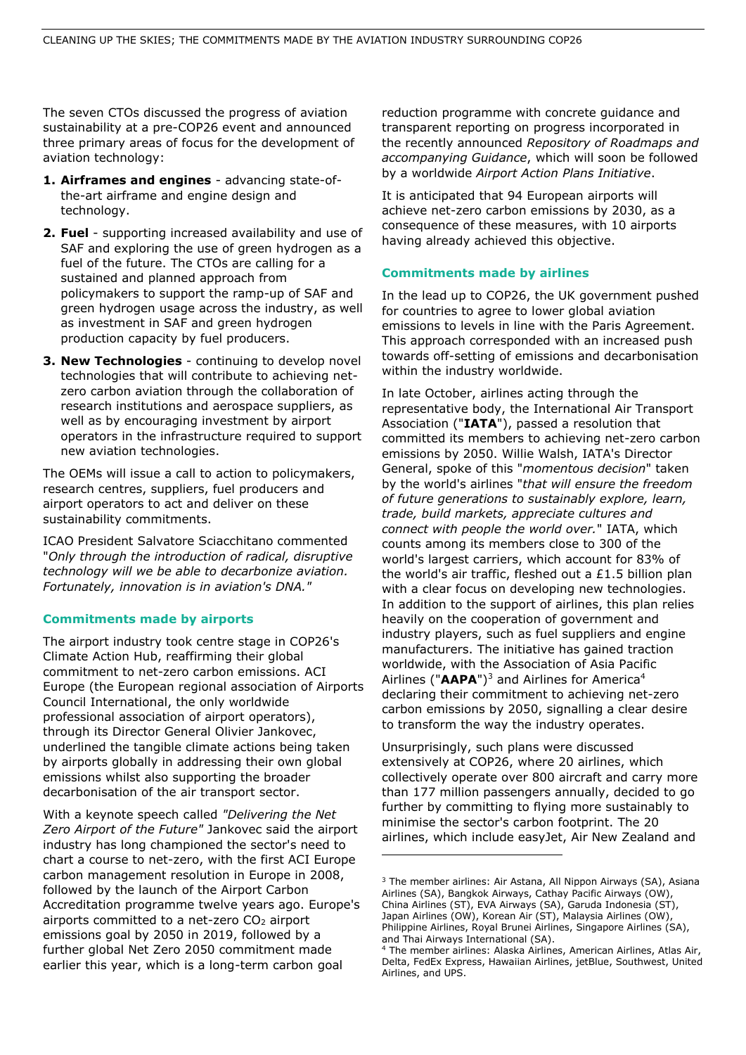The seven CTOs discussed the progress of aviation sustainability at a pre-COP26 event and announced three primary areas of focus for the development of aviation technology:

- **1. Airframes and engines**  advancing state-ofthe-art airframe and engine design and technology.
- **2. Fuel**  supporting increased availability and use of SAF and exploring the use of green hydrogen as a fuel of the future. The CTOs are calling for a sustained and planned approach from policymakers to support the ramp-up of SAF and green hydrogen usage across the industry, as well as investment in SAF and green hydrogen production capacity by fuel producers.
- **3. New Technologies** continuing to develop novel technologies that will contribute to achieving netzero carbon aviation through the collaboration of research institutions and aerospace suppliers, as well as by encouraging investment by airport operators in the infrastructure required to support new aviation technologies.

The OEMs will issue a call to action to policymakers, research centres, suppliers, fuel producers and airport operators to act and deliver on these sustainability commitments.

ICAO President Salvatore Sciacchitano commented "*Only through the introduction of radical, disruptive technology will we be able to decarbonize aviation. Fortunately, innovation is in aviation's DNA."*

#### **Commitments made by airports**

The airport industry took centre stage in COP26's Climate Action Hub, reaffirming their global commitment to net-zero carbon emissions. ACI Europe (the European regional association of Airports Council International, the only worldwide professional association of airport operators), through its Director General Olivier Jankovec, underlined the tangible climate actions being taken by airports globally in addressing their own global emissions whilst also supporting the broader decarbonisation of the air transport sector.

With a keynote speech called *"Delivering the Net Zero Airport of the Future"* Jankovec said the airport industry has long championed the sector's need to chart a course to net-zero, with the first ACI Europe carbon management resolution in Europe in 2008, followed by the launch of the Airport Carbon Accreditation programme twelve years ago. Europe's airports committed to a net-zero  $CO<sub>2</sub>$  airport emissions goal by 2050 in 2019, followed by a further global Net Zero 2050 commitment made earlier this year, which is a long-term carbon goal

reduction programme with concrete guidance and transparent reporting on progress incorporated in the recently announced *Repository of Roadmaps and accompanying Guidance*, which will soon be followed by a worldwide *Airport Action Plans Initiative*.

It is anticipated that 94 European airports will achieve net-zero carbon emissions by 2030, as a consequence of these measures, with 10 airports having already achieved this objective.

#### **Commitments made by airlines**

In the lead up to COP26, the UK government pushed for countries to agree to lower global aviation emissions to levels in line with the Paris Agreement. This approach corresponded with an increased push towards off-setting of emissions and decarbonisation within the industry worldwide.

In late October, airlines acting through the representative body, the International Air Transport Association ("**IATA**"), passed a resolution that committed its members to achieving net-zero carbon emissions by 2050. Willie Walsh, IATA's Director General, spoke of this "*momentous decision*" taken by the world's airlines "*that will ensure the freedom of future generations to sustainably explore, learn, trade, build markets, appreciate cultures and connect with people the world over.*" IATA, which counts among its members close to 300 of the world's largest carriers, which account for 83% of the world's air traffic, fleshed out a £1.5 billion plan with a clear focus on developing new technologies. In addition to the support of airlines, this plan relies heavily on the cooperation of government and industry players, such as fuel suppliers and engine manufacturers. The initiative has gained traction worldwide, with the Association of Asia Pacific Airlines ("AAPA")<sup>3</sup> and Airlines for America<sup>4</sup> declaring their commitment to achieving net-zero carbon emissions by 2050, signalling a clear desire to transform the way the industry operates.

Unsurprisingly, such plans were discussed extensively at COP26, where 20 airlines, which collectively operate over 800 aircraft and carry more than 177 million passengers annually, decided to go further by committing to flying more sustainably to minimise the sector's carbon footprint. The 20 airlines, which include easyJet, Air New Zealand and

Philippine Airlines, Royal Brunei Airlines, Singapore Airlines (SA), and Thai Airways International (SA).

<sup>&</sup>lt;sup>3</sup> The member airlines: Air Astana, All Nippon Airways (SA), Asiana Airlines (SA), Bangkok Airways, Cathay Pacific Airways (OW), China Airlines (ST), EVA Airways (SA), Garuda Indonesia (ST), Japan Airlines (OW), Korean Air (ST), Malaysia Airlines (OW),

<sup>4</sup> The member airlines: Alaska Airlines, American Airlines, Atlas Air, Delta, FedEx Express, Hawaiian Airlines, jetBlue, Southwest, United Airlines, and UPS.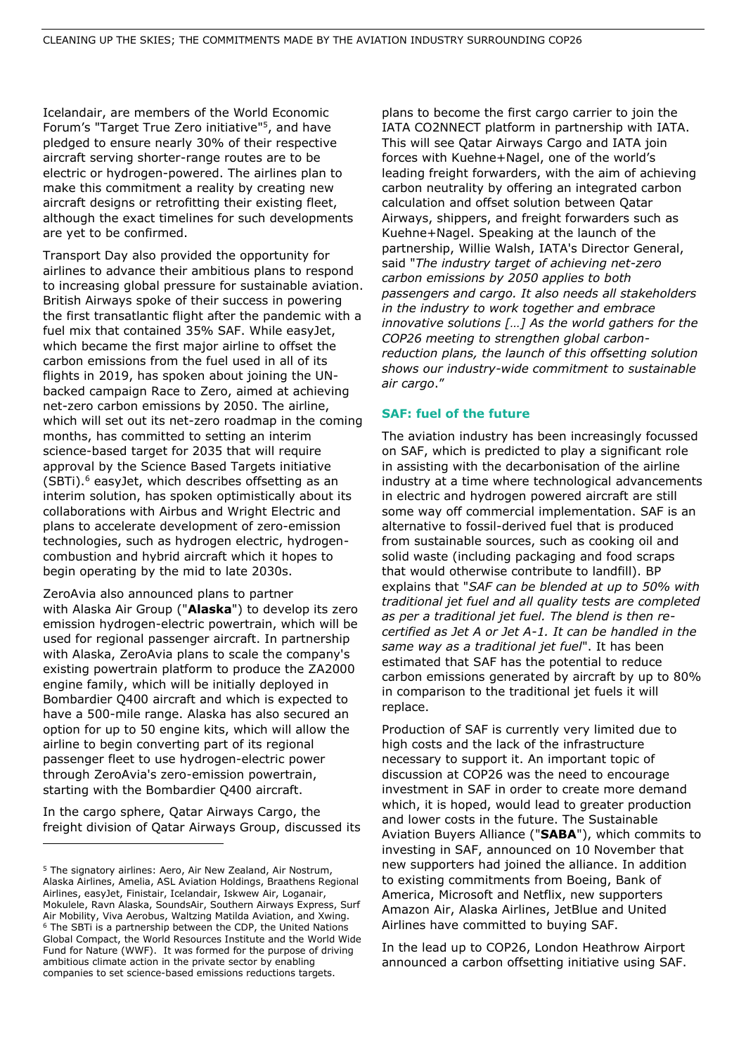Icelandair, are members of the World Economic Forum's "Target True Zero initiative"<sup>5</sup> , and have pledged to ensure nearly 30% of their respective aircraft serving shorter-range routes are to be electric or hydrogen-powered. The airlines plan to make this commitment a reality by creating new aircraft designs or retrofitting their existing fleet, although the exact timelines for such developments are yet to be confirmed.

Transport Day also provided the opportunity for airlines to advance their ambitious plans to respond to increasing global pressure for sustainable aviation. British Airways spoke of their success in powering the first transatlantic flight after the pandemic with a fuel mix that contained 35% SAF. While easyJet, which became the first major airline to offset the carbon emissions from the fuel used in all of its flights in 2019, has spoken about joining the UNbacked campaign Race to Zero, aimed at achieving net-zero carbon emissions by 2050. The airline, which will set out its net-zero roadmap in the coming months, has committed to setting an interim science-based target for 2035 that will require approval by the Science Based Targets initiative (SBTi).<sup>6</sup> easyJet, which describes offsetting as an interim solution, has spoken optimistically about its collaborations with Airbus and Wright Electric and plans to accelerate development of zero-emission technologies, such as hydrogen electric, hydrogencombustion and hybrid aircraft which it hopes to begin operating by the mid to late 2030s.

ZeroAvia also announced plans to partner with Alaska Air Group ("**Alaska**") to develop its zero emission hydrogen-electric powertrain, which will be used for regional passenger aircraft. In partnership with Alaska, ZeroAvia plans to scale the company's existing powertrain platform to produce the ZA2000 engine family, which will be initially deployed in Bombardier Q400 aircraft and which is expected to have a 500-mile range. Alaska has also secured an option for up to 50 engine kits, which will allow the airline to begin converting part of its regional passenger fleet to use hydrogen-electric power through ZeroAvia's zero-emission powertrain, starting with the Bombardier Q400 aircraft.

In the cargo sphere, Qatar Airways Cargo, the freight division of Qatar Airways Group, discussed its plans to become the first cargo carrier to join the IATA CO2NNECT platform in partnership with IATA. This will see Qatar Airways Cargo and IATA join forces with Kuehne+Nagel, one of the world's leading freight forwarders, with the aim of achieving carbon neutrality by offering an integrated carbon calculation and offset solution between Qatar Airways, shippers, and freight forwarders such as Kuehne+Nagel. Speaking at the launch of the partnership, Willie Walsh, IATA's Director General, said "*The industry target of achieving net-zero carbon emissions by 2050 applies to both passengers and cargo. It also needs all stakeholders in the industry to work together and embrace innovative solutions […] As the world gathers for the COP26 meeting to strengthen global carbonreduction plans, the launch of this offsetting solution shows our industry-wide commitment to sustainable air cargo*."

#### **SAF: fuel of the future**

The aviation industry has been increasingly focussed on SAF, which is predicted to play a significant role in assisting with the decarbonisation of the airline industry at a time where technological advancements in electric and hydrogen powered aircraft are still some way off commercial implementation. SAF is an alternative to fossil-derived fuel that is produced from sustainable sources, such as cooking oil and solid waste (including packaging and food scraps that would otherwise contribute to landfill). BP explains that "*SAF can be blended at up to 50% with traditional jet fuel and all quality tests are completed as per a traditional jet fuel. The blend is then recertified as Jet A or Jet A-1. It can be handled in the same way as a traditional jet fuel*". It has been estimated that SAF has the potential to reduce carbon emissions generated by aircraft by up to 80% in comparison to the traditional jet fuels it will replace.

Production of SAF is currently very limited due to high costs and the lack of the infrastructure necessary to support it. An important topic of discussion at COP26 was the need to encourage investment in SAF in order to create more demand which, it is hoped, would lead to greater production and lower costs in the future. The Sustainable Aviation Buyers Alliance ("**SABA**"), which commits to investing in SAF, announced on 10 November that new supporters had joined the alliance. In addition to existing commitments from Boeing, Bank of America, Microsoft and Netflix, new supporters Amazon Air, Alaska Airlines, JetBlue and United Airlines have committed to buying SAF.

In the lead up to COP26, London Heathrow Airport announced a carbon offsetting initiative using SAF.

<sup>&</sup>lt;sup>5</sup> The signatory airlines: Aero, Air New Zealand, Air Nostrum, Alaska Airlines, Amelia, ASL Aviation Holdings, Braathens Regional Airlines, easyJet, Finistair, Icelandair, Iskwew Air, Loganair, Mokulele, Ravn Alaska, SoundsAir, Southern Airways Express, Surf Air Mobility, Viva Aerobus, Waltzing Matilda Aviation, and Xwing. <sup>6</sup> The SBTi is a partnership between the CDP, the United Nations Global Compact, the World Resources Institute and the World Wide Fund for Nature (WWF). It was formed for the purpose of driving ambitious climate action in the private sector by enabling companies to set science-based emissions reductions targets.